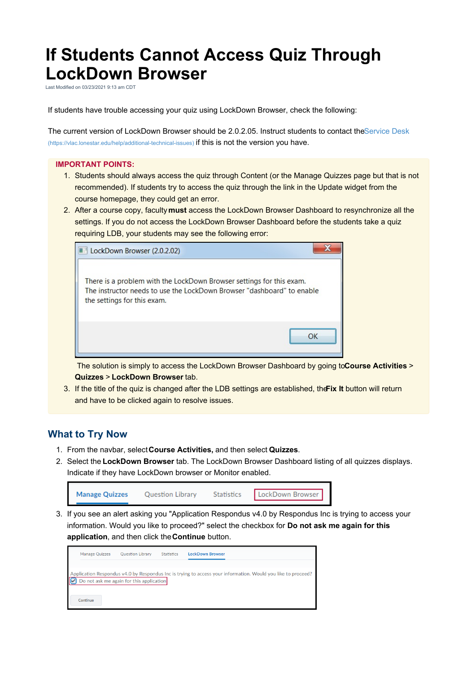## **If Students Cannot Access Quiz Through LockDown Browser**

Last Modified on 03/23/2021 9:13 am CDT

If students have trouble accessing your quiz using LockDown Browser, check the following:

The current version of LockDown Browser should be 2.0.2.05. Instruct students to contact theService Desk (https://vlac.lonestar.edu/help/additional-technical-issues) if this is not the version you have.

## **IMPORTANT POINTS:**

- 1. Students should always access the quiz through Content (or the Manage Quizzes page but that is not recommended). If students try to access the quiz through the link in the Update widget from the course homepage, they could get an error.
- 2. After a course copy, faculty**must** access the LockDown Browser Dashboard to resynchronize all the settings. If you do not access the LockDown Browser Dashboard before the students take a quiz requiring LDB, your students may see the following error:



The solution is simply to access the LockDown Browser Dashboard by going to**Course Activities** > **Quizzes** > **LockDown Browser** tab.

3. If the title of the quiz is changed after the LDB settings are established, the**Fix It** button will return and have to be clicked again to resolve issues.

## **What to Try Now**

- 1. From the navbar, select**Course Activities,** and then select **Quizzes**.
- 2. Select the **LockDown Browser** tab. The LockDown Browser Dashboard listing of all quizzes displays. Indicate if they have LockDown browser or Monitor enabled.

| <b>Manage Quizzes</b> | <b>Ouestion Library</b> | <b>Statistics</b> | LockDown Browser |  |
|-----------------------|-------------------------|-------------------|------------------|--|
|                       |                         |                   |                  |  |

3. If you see an alert asking you "Application Respondus v4.0 by Respondus Inc is trying to access your information. Would you like to proceed?" select the checkbox for **Do not ask me again for this application**, and then click the**Continue** button.

| <b>Manage Quizzes</b> | Question Library                         | <b>Statistics</b> | <b>LockDown Browser</b>                                                                                      |
|-----------------------|------------------------------------------|-------------------|--------------------------------------------------------------------------------------------------------------|
|                       |                                          |                   |                                                                                                              |
|                       |                                          |                   | Application Respondus v4.0 by Respondus Inc is trying to access your information. Would you like to proceed? |
|                       | Do not ask me again for this application |                   |                                                                                                              |
|                       |                                          |                   |                                                                                                              |
| Continue              |                                          |                   |                                                                                                              |